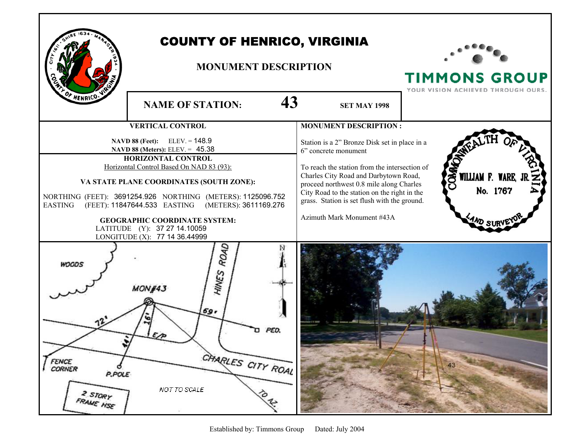